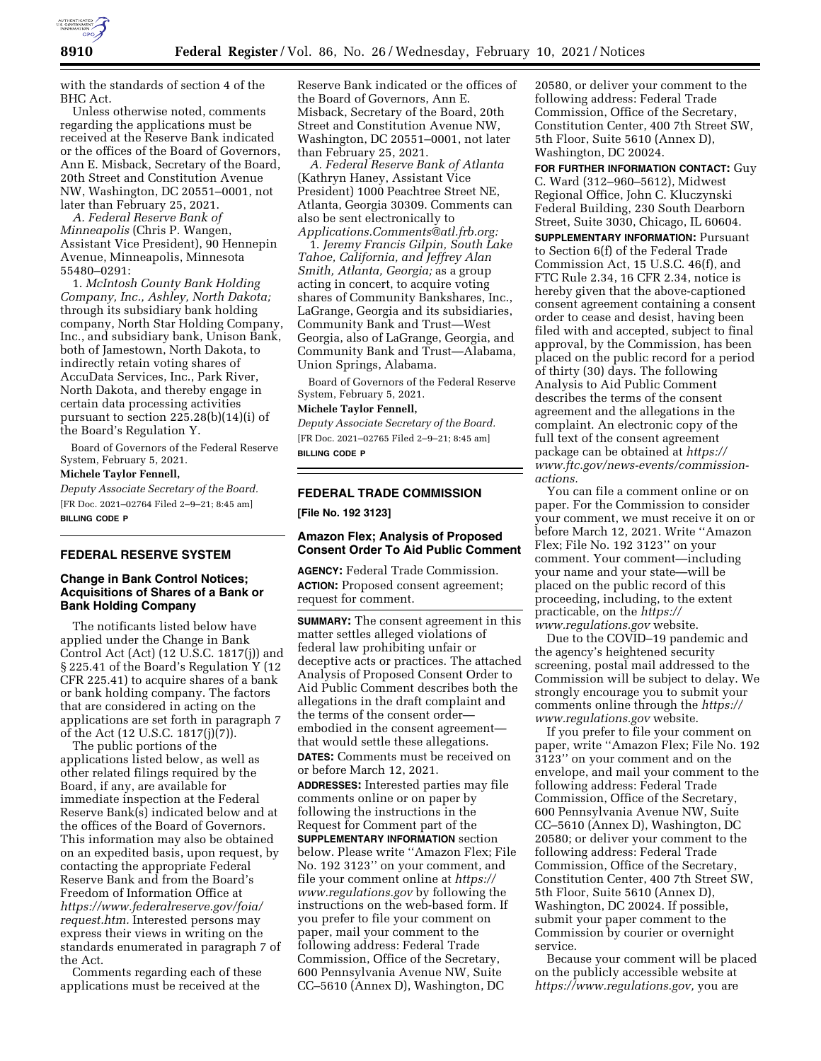

with the standards of section 4 of the BHC Act.

Unless otherwise noted, comments regarding the applications must be received at the Reserve Bank indicated or the offices of the Board of Governors, Ann E. Misback, Secretary of the Board, 20th Street and Constitution Avenue NW, Washington, DC 20551–0001, not later than February 25, 2021.

*A. Federal Reserve Bank of Minneapolis* (Chris P. Wangen, Assistant Vice President), 90 Hennepin Avenue, Minneapolis, Minnesota 55480–0291:

1. *McIntosh County Bank Holding Company, Inc., Ashley, North Dakota;*  through its subsidiary bank holding company, North Star Holding Company, Inc., and subsidiary bank, Unison Bank, both of Jamestown, North Dakota, to indirectly retain voting shares of AccuData Services, Inc., Park River, North Dakota, and thereby engage in certain data processing activities pursuant to section 225.28(b)(14)(i) of the Board's Regulation Y.

Board of Governors of the Federal Reserve System, February 5, 2021.

# **Michele Taylor Fennell,**

*Deputy Associate Secretary of the Board.*  [FR Doc. 2021–02764 Filed 2–9–21; 8:45 am] **BILLING CODE P** 

### **FEDERAL RESERVE SYSTEM**

## **Change in Bank Control Notices; Acquisitions of Shares of a Bank or Bank Holding Company**

The notificants listed below have applied under the Change in Bank Control Act (Act) (12 U.S.C. 1817(j)) and § 225.41 of the Board's Regulation Y (12 CFR 225.41) to acquire shares of a bank or bank holding company. The factors that are considered in acting on the applications are set forth in paragraph 7 of the Act (12 U.S.C. 1817(j)(7)).

The public portions of the applications listed below, as well as other related filings required by the Board, if any, are available for immediate inspection at the Federal Reserve Bank(s) indicated below and at the offices of the Board of Governors. This information may also be obtained on an expedited basis, upon request, by contacting the appropriate Federal Reserve Bank and from the Board's Freedom of Information Office at *[https://www.federalreserve.gov/foia/](https://www.federalreserve.gov/foia/request.htm) [request.htm.](https://www.federalreserve.gov/foia/request.htm)* Interested persons may express their views in writing on the standards enumerated in paragraph 7 of the Act.

Comments regarding each of these applications must be received at the Reserve Bank indicated or the offices of the Board of Governors, Ann E. Misback, Secretary of the Board, 20th Street and Constitution Avenue NW, Washington, DC 20551–0001, not later than February 25, 2021.

*A. Federal Reserve Bank of Atlanta*  (Kathryn Haney, Assistant Vice President) 1000 Peachtree Street NE, Atlanta, Georgia 30309. Comments can also be sent electronically to *[Applications.Comments@atl.frb.org:](mailto:Applications.Comments@atl.frb.org)* 

1. *Jeremy Francis Gilpin, South Lake Tahoe, California, and Jeffrey Alan Smith, Atlanta, Georgia;* as a group acting in concert, to acquire voting shares of Community Bankshares, Inc., LaGrange, Georgia and its subsidiaries, Community Bank and Trust—West Georgia, also of LaGrange, Georgia, and Community Bank and Trust—Alabama, Union Springs, Alabama.

Board of Governors of the Federal Reserve System, February 5, 2021.

#### **Michele Taylor Fennell,**

*Deputy Associate Secretary of the Board.*  [FR Doc. 2021–02765 Filed 2–9–21; 8:45 am] **BILLING CODE P** 

# **FEDERAL TRADE COMMISSION**

**[File No. 192 3123]** 

## **Amazon Flex; Analysis of Proposed Consent Order To Aid Public Comment**

**AGENCY:** Federal Trade Commission. **ACTION:** Proposed consent agreement; request for comment.

**SUMMARY:** The consent agreement in this matter settles alleged violations of federal law prohibiting unfair or deceptive acts or practices. The attached Analysis of Proposed Consent Order to Aid Public Comment describes both the allegations in the draft complaint and the terms of the consent order embodied in the consent agreement that would settle these allegations. **DATES:** Comments must be received on or before March 12, 2021.

**ADDRESSES:** Interested parties may file comments online or on paper by following the instructions in the Request for Comment part of the **SUPPLEMENTARY INFORMATION** section below. Please write ''Amazon Flex; File No. 192 3123'' on your comment, and file your comment online at *[https://](https://www.regulations.gov) [www.regulations.gov](https://www.regulations.gov)* by following the instructions on the web-based form. If you prefer to file your comment on paper, mail your comment to the following address: Federal Trade Commission, Office of the Secretary, 600 Pennsylvania Avenue NW, Suite CC–5610 (Annex D), Washington, DC

20580, or deliver your comment to the following address: Federal Trade Commission, Office of the Secretary, Constitution Center, 400 7th Street SW, 5th Floor, Suite 5610 (Annex D), Washington, DC 20024.

**FOR FURTHER INFORMATION CONTACT:** Guy C. Ward (312–960–5612), Midwest Regional Office, John C. Kluczynski Federal Building, 230 South Dearborn Street, Suite 3030, Chicago, IL 60604.

**SUPPLEMENTARY INFORMATION: Pursuant** to Section 6(f) of the Federal Trade Commission Act, 15 U.S.C. 46(f), and FTC Rule 2.34, 16 CFR 2.34, notice is hereby given that the above-captioned consent agreement containing a consent order to cease and desist, having been filed with and accepted, subject to final approval, by the Commission, has been placed on the public record for a period of thirty (30) days. The following Analysis to Aid Public Comment describes the terms of the consent agreement and the allegations in the complaint. An electronic copy of the full text of the consent agreement package can be obtained at *[https://](https://www.ftc.gov/news-events/commission-actions) [www.ftc.gov/news-events/commission](https://www.ftc.gov/news-events/commission-actions)[actions.](https://www.ftc.gov/news-events/commission-actions)* 

You can file a comment online or on paper. For the Commission to consider your comment, we must receive it on or before March 12, 2021. Write ''Amazon Flex; File No. 192 3123'' on your comment. Your comment—including your name and your state—will be placed on the public record of this proceeding, including, to the extent practicable, on the *[https://](https://www.regulations.gov) [www.regulations.gov](https://www.regulations.gov)* website.

Due to the COVID–19 pandemic and the agency's heightened security screening, postal mail addressed to the Commission will be subject to delay. We strongly encourage you to submit your comments online through the *[https://](https://www.regulations.gov) [www.regulations.gov](https://www.regulations.gov)* website.

If you prefer to file your comment on paper, write ''Amazon Flex; File No. 192 3123'' on your comment and on the envelope, and mail your comment to the following address: Federal Trade Commission, Office of the Secretary, 600 Pennsylvania Avenue NW, Suite CC–5610 (Annex D), Washington, DC 20580; or deliver your comment to the following address: Federal Trade Commission, Office of the Secretary, Constitution Center, 400 7th Street SW, 5th Floor, Suite 5610 (Annex D), Washington, DC 20024. If possible, submit your paper comment to the Commission by courier or overnight service.

Because your comment will be placed on the publicly accessible website at *[https://www.regulations.gov,](https://www.regulations.gov)* you are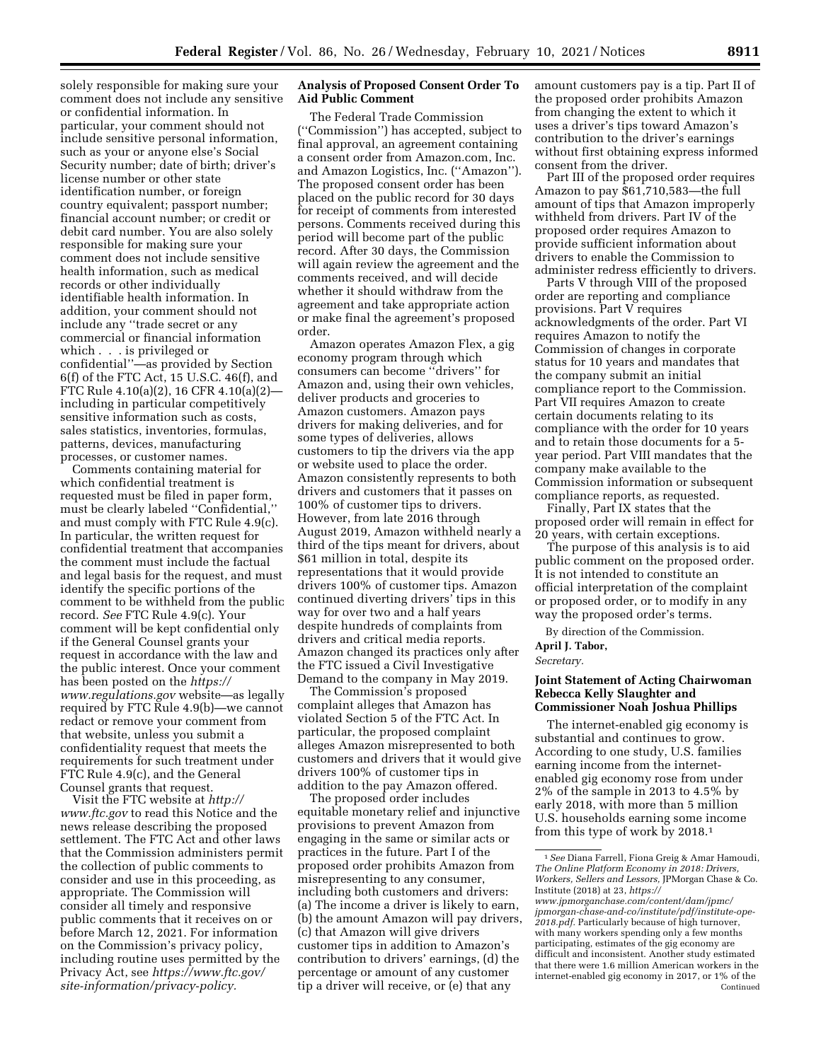solely responsible for making sure your comment does not include any sensitive or confidential information. In particular, your comment should not include sensitive personal information, such as your or anyone else's Social Security number; date of birth; driver's license number or other state identification number, or foreign country equivalent; passport number; financial account number; or credit or debit card number. You are also solely responsible for making sure your comment does not include sensitive health information, such as medical records or other individually identifiable health information. In addition, your comment should not include any ''trade secret or any commercial or financial information which . . . is privileged or confidential''—as provided by Section 6(f) of the FTC Act, 15 U.S.C. 46(f), and FTC Rule 4.10(a)(2), 16 CFR 4.10(a)(2) including in particular competitively sensitive information such as costs, sales statistics, inventories, formulas, patterns, devices, manufacturing processes, or customer names.

Comments containing material for which confidential treatment is requested must be filed in paper form, must be clearly labeled ''Confidential,'' and must comply with FTC Rule 4.9(c). In particular, the written request for confidential treatment that accompanies the comment must include the factual and legal basis for the request, and must identify the specific portions of the comment to be withheld from the public record. *See* FTC Rule 4.9(c). Your comment will be kept confidential only if the General Counsel grants your request in accordance with the law and the public interest. Once your comment has been posted on the *[https://](https://www.regulations.gov) [www.regulations.gov](https://www.regulations.gov)* website—as legally required by FTC Rule 4.9(b)—we cannot redact or remove your comment from that website, unless you submit a confidentiality request that meets the requirements for such treatment under FTC Rule 4.9(c), and the General Counsel grants that request.

Visit the FTC website at *[http://](http://www.ftc.gov) [www.ftc.gov](http://www.ftc.gov)* to read this Notice and the news release describing the proposed settlement. The FTC Act and other laws that the Commission administers permit the collection of public comments to consider and use in this proceeding, as appropriate. The Commission will consider all timely and responsive public comments that it receives on or before March 12, 2021. For information on the Commission's privacy policy, including routine uses permitted by the Privacy Act, see *[https://www.ftc.gov/](https://www.ftc.gov/site-information/privacy-policy)  [site-information/privacy-policy.](https://www.ftc.gov/site-information/privacy-policy)* 

### **Analysis of Proposed Consent Order To Aid Public Comment**

The Federal Trade Commission (''Commission'') has accepted, subject to final approval, an agreement containing a consent order from Amazon.com, Inc. and Amazon Logistics, Inc. (''Amazon''). The proposed consent order has been placed on the public record for 30 days for receipt of comments from interested persons. Comments received during this period will become part of the public record. After 30 days, the Commission will again review the agreement and the comments received, and will decide whether it should withdraw from the agreement and take appropriate action or make final the agreement's proposed order.

Amazon operates Amazon Flex, a gig economy program through which consumers can become ''drivers'' for Amazon and, using their own vehicles, deliver products and groceries to Amazon customers. Amazon pays drivers for making deliveries, and for some types of deliveries, allows customers to tip the drivers via the app or website used to place the order. Amazon consistently represents to both drivers and customers that it passes on 100% of customer tips to drivers. However, from late 2016 through August 2019, Amazon withheld nearly a third of the tips meant for drivers, about \$61 million in total, despite its representations that it would provide drivers 100% of customer tips. Amazon continued diverting drivers' tips in this way for over two and a half years despite hundreds of complaints from drivers and critical media reports. Amazon changed its practices only after the FTC issued a Civil Investigative Demand to the company in May 2019.

The Commission's proposed complaint alleges that Amazon has violated Section 5 of the FTC Act. In particular, the proposed complaint alleges Amazon misrepresented to both customers and drivers that it would give drivers 100% of customer tips in addition to the pay Amazon offered.

The proposed order includes equitable monetary relief and injunctive provisions to prevent Amazon from engaging in the same or similar acts or practices in the future. Part I of the proposed order prohibits Amazon from misrepresenting to any consumer, including both customers and drivers: (a) The income a driver is likely to earn, (b) the amount Amazon will pay drivers, (c) that Amazon will give drivers customer tips in addition to Amazon's contribution to drivers' earnings, (d) the percentage or amount of any customer tip a driver will receive, or (e) that any

amount customers pay is a tip. Part II of the proposed order prohibits Amazon from changing the extent to which it uses a driver's tips toward Amazon's contribution to the driver's earnings without first obtaining express informed consent from the driver.

Part III of the proposed order requires Amazon to pay \$61,710,583—the full amount of tips that Amazon improperly withheld from drivers. Part IV of the proposed order requires Amazon to provide sufficient information about drivers to enable the Commission to administer redress efficiently to drivers.

Parts V through VIII of the proposed order are reporting and compliance provisions. Part V requires acknowledgments of the order. Part VI requires Amazon to notify the Commission of changes in corporate status for 10 years and mandates that the company submit an initial compliance report to the Commission. Part VII requires Amazon to create certain documents relating to its compliance with the order for 10 years and to retain those documents for a 5 year period. Part VIII mandates that the company make available to the Commission information or subsequent compliance reports, as requested.

Finally, Part IX states that the proposed order will remain in effect for 20 years, with certain exceptions.

The purpose of this analysis is to aid public comment on the proposed order. It is not intended to constitute an official interpretation of the complaint or proposed order, or to modify in any way the proposed order's terms.

By direction of the Commission.

# **April J. Tabor,**

*Secretary.* 

### **Joint Statement of Acting Chairwoman Rebecca Kelly Slaughter and Commissioner Noah Joshua Phillips**

The internet-enabled gig economy is substantial and continues to grow. According to one study, U.S. families earning income from the internetenabled gig economy rose from under 2% of the sample in 2013 to 4.5% by early 2018, with more than 5 million U.S. households earning some income from this type of work by 2018.1

<sup>1</sup>*See* Diana Farrell, Fiona Greig & Amar Hamoudi, *The Online Platform Economy in 2018: Drivers, Workers, Sellers and Lessors,* JPMorgan Chase & Co. Institute (2018) at 23, *[https://](https://www.jpmorganchase.com/content/dam/jpmc/jpmorgan-chase-and-co/institute/pdf/institute-ope-2018.pdf)*

*[www.jpmorganchase.com/content/dam/jpmc/](https://www.jpmorganchase.com/content/dam/jpmc/jpmorgan-chase-and-co/institute/pdf/institute-ope-2018.pdf)  [jpmorgan-chase-and-co/institute/pdf/institute-ope-](https://www.jpmorganchase.com/content/dam/jpmc/jpmorgan-chase-and-co/institute/pdf/institute-ope-2018.pdf)[2018.pdf.](https://www.jpmorganchase.com/content/dam/jpmc/jpmorgan-chase-and-co/institute/pdf/institute-ope-2018.pdf)* Particularly because of high turnover, with many workers spending only a few months participating, estimates of the gig economy are difficult and inconsistent. Another study estimated that there were 1.6 million American workers in the internet-enabled gig economy in 2017, or 1% of the Continued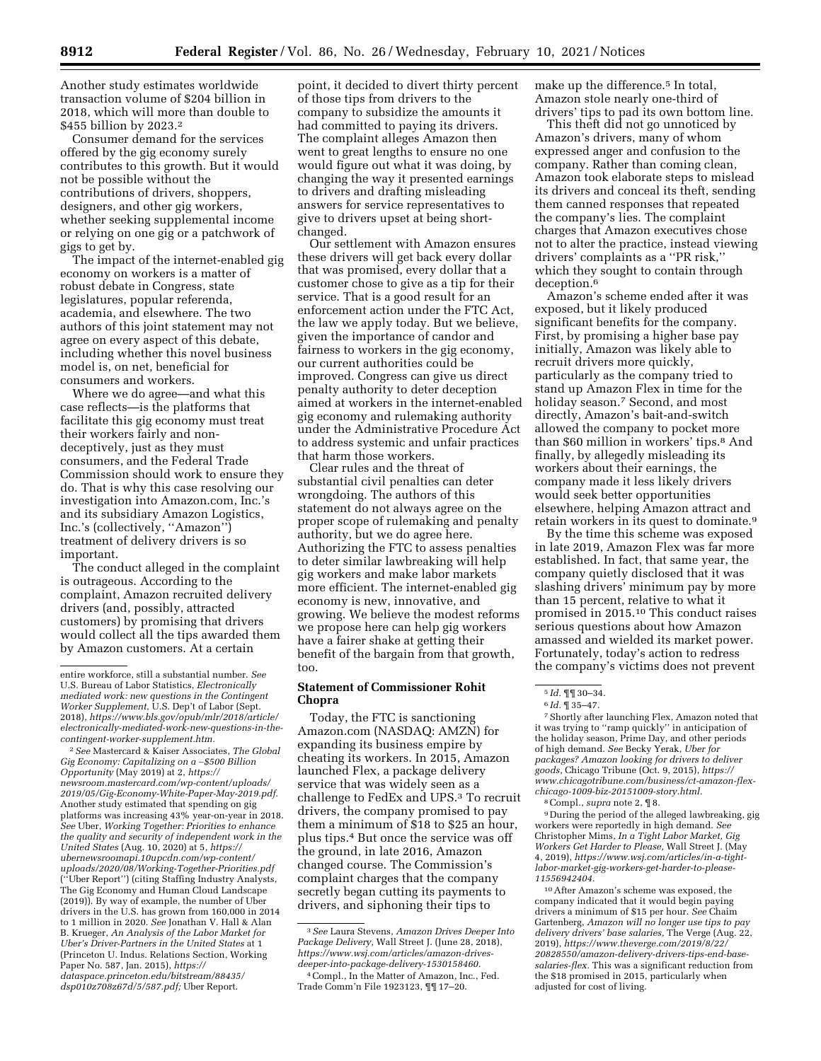Another study estimates worldwide transaction volume of \$204 billion in 2018, which will more than double to \$455 billion by 2023.2

Consumer demand for the services offered by the gig economy surely contributes to this growth. But it would not be possible without the contributions of drivers, shoppers, designers, and other gig workers, whether seeking supplemental income or relying on one gig or a patchwork of gigs to get by.

The impact of the internet-enabled gig economy on workers is a matter of robust debate in Congress, state legislatures, popular referenda, academia, and elsewhere. The two authors of this joint statement may not agree on every aspect of this debate, including whether this novel business model is, on net, beneficial for consumers and workers.

Where we do agree—and what this case reflects—is the platforms that facilitate this gig economy must treat their workers fairly and nondeceptively, just as they must consumers, and the Federal Trade Commission should work to ensure they do. That is why this case resolving our investigation into Amazon.com, Inc.'s and its subsidiary Amazon Logistics, Inc.'s (collectively, ''Amazon'') treatment of delivery drivers is so important.

The conduct alleged in the complaint is outrageous. According to the complaint, Amazon recruited delivery drivers (and, possibly, attracted customers) by promising that drivers would collect all the tips awarded them by Amazon customers. At a certain

2*See* Mastercard & Kaiser Associates, *The Global Gig Economy: Capitalizing on a* ∼*\$500 Billion Opportunity* (May 2019) at 2, *[https://](https://newsroom.mastercard.com/wp-content/uploads/2019/05/Gig-Economy-White-Paper-May-2019.pdf) [newsroom.mastercard.com/wp-content/uploads/](https://newsroom.mastercard.com/wp-content/uploads/2019/05/Gig-Economy-White-Paper-May-2019.pdf)  [2019/05/Gig-Economy-White-Paper-May-2019.pdf.](https://newsroom.mastercard.com/wp-content/uploads/2019/05/Gig-Economy-White-Paper-May-2019.pdf)*  Another study estimated that spending on gig platforms was increasing 43% year-on-year in 2018. *See* Uber, *Working Together: Priorities to enhance the quality and security of independent work in the United States* (Aug. 10, 2020) at 5, *[https://](https://ubernewsroomapi.10upcdn.com/wp-content/uploads/2020/08/Working-Together-Priorities.pdf) [ubernewsroomapi.10upcdn.com/wp-content/](https://ubernewsroomapi.10upcdn.com/wp-content/uploads/2020/08/Working-Together-Priorities.pdf) [uploads/2020/08/Working-Together-Priorities.pdf](https://ubernewsroomapi.10upcdn.com/wp-content/uploads/2020/08/Working-Together-Priorities.pdf)*  (''Uber Report'') (citing Staffing Industry Analysts, The Gig Economy and Human Cloud Landscape (2019)). By way of example, the number of Uber drivers in the U.S. has grown from 160,000 in 2014 to 1 million in 2020. *See* Jonathan V. Hall & Alan B. Krueger, *An Analysis of the Labor Market for Uber's Driver-Partners in the United States* at 1 (Princeton U. Indus. Relations Section, Working Paper No. 587, Jan. 2015), *[https://](https://dataspace.princeton.edu/bitstream/88435/dsp010z708z67d/5/587.pdf) [dataspace.princeton.edu/bitstream/88435/](https://dataspace.princeton.edu/bitstream/88435/dsp010z708z67d/5/587.pdf) [dsp010z708z67d/5/587.pdf;](https://dataspace.princeton.edu/bitstream/88435/dsp010z708z67d/5/587.pdf)* Uber Report.

point, it decided to divert thirty percent of those tips from drivers to the company to subsidize the amounts it had committed to paying its drivers. The complaint alleges Amazon then went to great lengths to ensure no one would figure out what it was doing, by changing the way it presented earnings to drivers and drafting misleading answers for service representatives to give to drivers upset at being shortchanged.

Our settlement with Amazon ensures these drivers will get back every dollar that was promised, every dollar that a customer chose to give as a tip for their service. That is a good result for an enforcement action under the FTC Act, the law we apply today. But we believe, given the importance of candor and fairness to workers in the gig economy, our current authorities could be improved. Congress can give us direct penalty authority to deter deception aimed at workers in the internet-enabled gig economy and rulemaking authority under the Administrative Procedure Act to address systemic and unfair practices that harm those workers.

Clear rules and the threat of substantial civil penalties can deter wrongdoing. The authors of this statement do not always agree on the proper scope of rulemaking and penalty authority, but we do agree here. Authorizing the FTC to assess penalties to deter similar lawbreaking will help gig workers and make labor markets more efficient. The internet-enabled gig economy is new, innovative, and growing. We believe the modest reforms we propose here can help gig workers have a fairer shake at getting their benefit of the bargain from that growth, too.

### **Statement of Commissioner Rohit Chopra**

Today, the FTC is sanctioning Amazon.com (NASDAQ: AMZN) for expanding its business empire by cheating its workers. In 2015, Amazon launched Flex, a package delivery service that was widely seen as a challenge to FedEx and UPS.3 To recruit drivers, the company promised to pay them a minimum of \$18 to \$25 an hour, plus tips.4 But once the service was off the ground, in late 2016, Amazon changed course. The Commission's complaint charges that the company secretly began cutting its payments to drivers, and siphoning their tips to

make up the difference.<sup>5</sup> In total, Amazon stole nearly one-third of drivers' tips to pad its own bottom line.

This theft did not go unnoticed by Amazon's drivers, many of whom expressed anger and confusion to the company. Rather than coming clean, Amazon took elaborate steps to mislead its drivers and conceal its theft, sending them canned responses that repeated the company's lies. The complaint charges that Amazon executives chose not to alter the practice, instead viewing drivers' complaints as a ''PR risk,'' which they sought to contain through deception.6

Amazon's scheme ended after it was exposed, but it likely produced significant benefits for the company. First, by promising a higher base pay initially, Amazon was likely able to recruit drivers more quickly, particularly as the company tried to stand up Amazon Flex in time for the holiday season.<sup>7</sup> Second, and most directly, Amazon's bait-and-switch allowed the company to pocket more than \$60 million in workers' tips.8 And finally, by allegedly misleading its workers about their earnings, the company made it less likely drivers would seek better opportunities elsewhere, helping Amazon attract and retain workers in its quest to dominate.9

By the time this scheme was exposed in late 2019, Amazon Flex was far more established. In fact, that same year, the company quietly disclosed that it was slashing drivers' minimum pay by more than 15 percent, relative to what it promised in 2015.10 This conduct raises serious questions about how Amazon amassed and wielded its market power. Fortunately, today's action to redress the company's victims does not prevent

7Shortly after launching Flex, Amazon noted that it was trying to ''ramp quickly'' in anticipation of the holiday season, Prime Day, and other periods of high demand. *See* Becky Yerak, *Uber for packages? Amazon looking for drivers to deliver goods,* Chicago Tribune (Oct. 9, 2015), *[https://](https://www.chicagotribune.com/business/ct-amazon-flex-chicago-1009-biz-20151009-story.html) [www.chicagotribune.com/business/ct-amazon-flex](https://www.chicagotribune.com/business/ct-amazon-flex-chicago-1009-biz-20151009-story.html)[chicago-1009-biz-20151009-story.html.](https://www.chicagotribune.com/business/ct-amazon-flex-chicago-1009-biz-20151009-story.html)* 

8Compl., *supra* note 2, ¶ 8.

9 During the period of the alleged lawbreaking, gig workers were reportedly in high demand. *See*  Christopher Mims, *In a Tight Labor Market, Gig Workers Get Harder to Please,* Wall Street J. (May 4, 2019), *[https://www.wsj.com/articles/in-a-tight](https://www.wsj.com/articles/in-a-tight-labor-market-gig-workers-get-harder-to-please-11556942404)[labor-market-gig-workers-get-harder-to-please-](https://www.wsj.com/articles/in-a-tight-labor-market-gig-workers-get-harder-to-please-11556942404)[11556942404.](https://www.wsj.com/articles/in-a-tight-labor-market-gig-workers-get-harder-to-please-11556942404)* 

10After Amazon's scheme was exposed, the company indicated that it would begin paying drivers a minimum of \$15 per hour. *See* Chaim Gartenberg, *Amazon will no longer use tips to pay delivery drivers' base salaries,* The Verge (Aug. 22, 2019), *[https://www.theverge.com/2019/8/22/](https://www.theverge.com/2019/8/22/20828550/amazon-delivery-drivers-tips-end-base-salaries-flex) [20828550/amazon-delivery-drivers-tips-end-base](https://www.theverge.com/2019/8/22/20828550/amazon-delivery-drivers-tips-end-base-salaries-flex)[salaries-flex.](https://www.theverge.com/2019/8/22/20828550/amazon-delivery-drivers-tips-end-base-salaries-flex)* This was a significant reduction from the \$18 promised in 2015, particularly when adjusted for cost of living.

entire workforce, still a substantial number. *See*  U.S. Bureau of Labor Statistics, *Electronically mediated work: new questions in the Contingent Worker Supplement,* U.S. Dep't of Labor (Sept. 2018), *[https://www.bls.gov/opub/mlr/2018/article/](https://www.bls.gov/opub/mlr/2018/article/electronically-mediated-work-new-questions-in-the-contingent-worker-supplement.htm)  [electronically-mediated-work-new-questions-in-the](https://www.bls.gov/opub/mlr/2018/article/electronically-mediated-work-new-questions-in-the-contingent-worker-supplement.htm)[contingent-worker-supplement.htm.](https://www.bls.gov/opub/mlr/2018/article/electronically-mediated-work-new-questions-in-the-contingent-worker-supplement.htm)* 

<sup>3</sup>*See* Laura Stevens, *Amazon Drives Deeper Into Package Delivery,* Wall Street J. (June 28, 2018), *[https://www.wsj.com/articles/amazon-drives](https://www.wsj.com/articles/amazon-drives-deeper-into-package-delivery-1530158460)[deeper-into-package-delivery-1530158460.](https://www.wsj.com/articles/amazon-drives-deeper-into-package-delivery-1530158460)* 

<sup>4</sup>Compl., In the Matter of Amazon, Inc., Fed. Trade Comm'n File 1923123, ¶¶ 17–20.

<sup>5</sup> *Id.* ¶¶ 30–34.

<sup>6</sup> *Id.* ¶ 35–47.